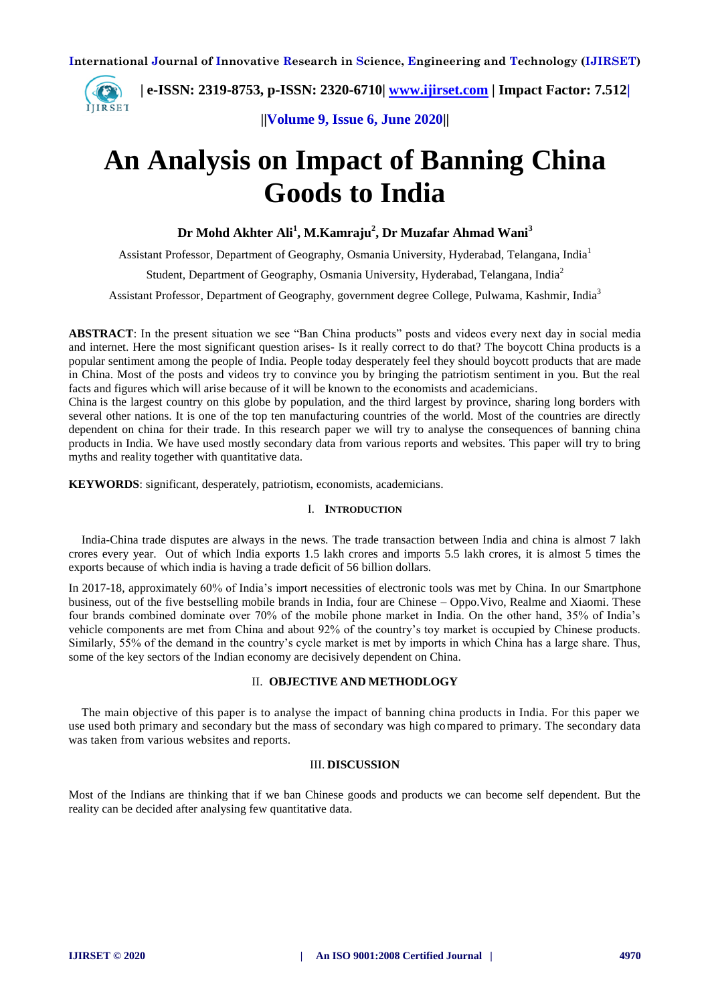**| e-ISSN: 2319-8753, p-ISSN: 2320-6710| [www.ijirset.com](http://www.ijirset.com/) | Impact Factor: 7.512| ITIRSET** 

**||Volume 9, Issue 6, June 2020||** 

# **An Analysis on Impact of Banning China Goods to India**

**Dr Mohd Akhter Ali<sup>1</sup> , M.Kamraju<sup>2</sup> , Dr Muzafar Ahmad Wani<sup>3</sup>**

Assistant Professor, Department of Geography, Osmania University, Hyderabad, Telangana, India<sup>1</sup> Student, Department of Geography, Osmania University, Hyderabad, Telangana, India<sup>2</sup> Assistant Professor, Department of Geography, government degree College, Pulwama, Kashmir, India<sup>3</sup>

**ABSTRACT**: In the present situation we see "Ban China products" posts and videos every next day in social media and internet. Here the most significant question arises- Is it really correct to do that? The boycott China products is a popular sentiment among the people of India. People today desperately feel they should boycott products that are made in China. Most of the posts and videos try to convince you by bringing the patriotism sentiment in you. But the real facts and figures which will arise because of it will be known to the economists and academicians.

China is the largest country on this globe by population, and the third largest by province, sharing long borders with several other nations. It is one of the top ten manufacturing countries of the world. Most of the countries are directly dependent on china for their trade. In this research paper we will try to analyse the consequences of banning china products in India. We have used mostly secondary data from various reports and websites. This paper will try to bring myths and reality together with quantitative data.

**KEYWORDS**: significant, desperately, patriotism, economists, academicians.

# I. **INTRODUCTION**

India-China trade disputes are always in the news. The trade transaction between India and china is almost 7 lakh crores every year. Out of which India exports 1.5 lakh crores and imports 5.5 lakh crores, it is almost 5 times the exports because of which india is having a trade deficit of 56 billion dollars.

In 2017-18, approximately 60% of India's import necessities of electronic tools was met by China. In our Smartphone business, out of the five bestselling mobile brands in India, four are Chinese – Oppo.Vivo, Realme and Xiaomi. These four brands combined dominate over 70% of the mobile phone market in India. On the other hand, 35% of India's vehicle components are met from China and about 92% of the country's toy market is occupied by Chinese products. Similarly, 55% of the demand in the country's cycle market is met by imports in which China has a large share. Thus, some of the key sectors of the Indian economy are decisively dependent on China.

# II. **OBJECTIVE AND METHODLOGY**

The main objective of this paper is to analyse the impact of banning china products in India. For this paper we use used both primary and secondary but the mass of secondary was high compared to primary. The secondary data was taken from various websites and reports.

# III. **DISCUSSION**

Most of the Indians are thinking that if we ban Chinese goods and products we can become self dependent. But the reality can be decided after analysing few quantitative data.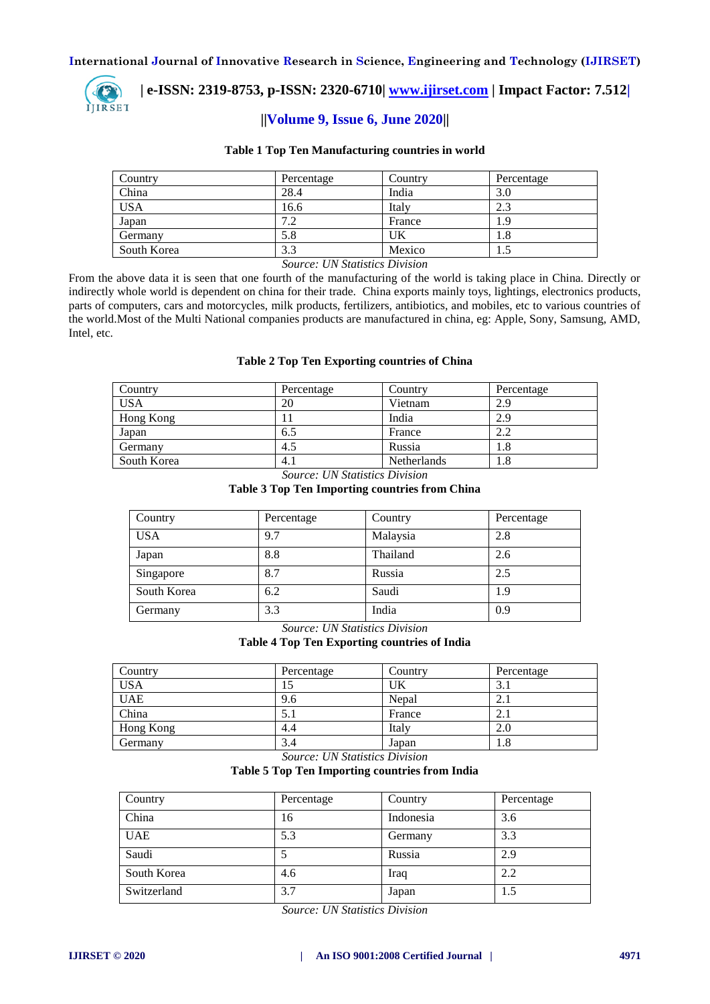

 **| e-ISSN: 2319-8753, p-ISSN: 2320-6710| [www.ijirset.com](http://www.ijirset.com/) | Impact Factor: 7.512|**

# **||Volume 9, Issue 6, June 2020||**

#### **Table 1 Top Ten Manufacturing countries in world**

| Country     | Percentage | Country | Percentage |
|-------------|------------|---------|------------|
| China       | 28.4       | India   | 3.0        |
| <b>USA</b>  | 16.6       | Italy   | 2.3        |
| Japan       | 7.2        | France  | 1.9        |
| Germany     | 5.8        | UK      | 1.8        |
| South Korea | ົ<br>3.3   | Mexico  | 1.J        |

*Source: UN Statistics Division*

From the above data it is seen that one fourth of the manufacturing of the world is taking place in China. Directly or indirectly whole world is dependent on china for their trade. China exports mainly toys, lightings, electronics products, parts of computers, cars and motorcycles, milk products, fertilizers, antibiotics, and mobiles, etc to various countries of the world.Most of the Multi National companies products are manufactured in china, eg: Apple, Sony, Samsung, AMD, Intel, etc.

#### **Table 2 Top Ten Exporting countries of China**

| Country     | Percentage | Country     | Percentage |
|-------------|------------|-------------|------------|
| <b>USA</b>  | 20         | Vietnam     | 2.9        |
| Hong Kong   |            | India       | 2.9        |
| Japan       | 6.5        | France      | 2.2        |
| Germany     | 4.5        | Russia      | 1.8        |
| South Korea | 4.1        | Netherlands | 1.8        |

*Source: UN Statistics Division*

#### **Table 3 Top Ten Importing countries from China**

| Country     | Percentage | Country  | Percentage |
|-------------|------------|----------|------------|
| <b>USA</b>  | 9.7        | Malaysia | 2.8        |
| Japan       | 8.8        | Thailand | 2.6        |
| Singapore   | 8.7        | Russia   | 2.5        |
| South Korea | 6.2        | Saudi    | 1.9        |
| Germany     | 3.3        | India    | 0.9        |

*Source: UN Statistics Division*

#### **Table 4 Top Ten Exporting countries of India**

| Country    | Percentage | Country | Percentage |
|------------|------------|---------|------------|
| <b>USA</b> |            | UΚ      | 3.1        |
| <b>UAE</b> | 9.6        | Nepal   | 2.1        |
| China      | J.I        | France  | 2.1        |
| Hong Kong  | 4.4        | Italy   | 2.0        |
| Germany    | 3.4        | Japan   | 1.8        |

*Source: UN Statistics Division*

# **Table 5 Top Ten Importing countries from India**

| Country     | Percentage | Country   | Percentage |
|-------------|------------|-----------|------------|
| China       | 16         | Indonesia | 3.6        |
| <b>UAE</b>  | 5.3        | Germany   | 3.3        |
| Saudi       |            | Russia    | 2.9        |
| South Korea | 4.6        | Iraq      | 2.2        |
| Switzerland | 3.7        | Japan     | 1.5        |

*Source: UN Statistics Division*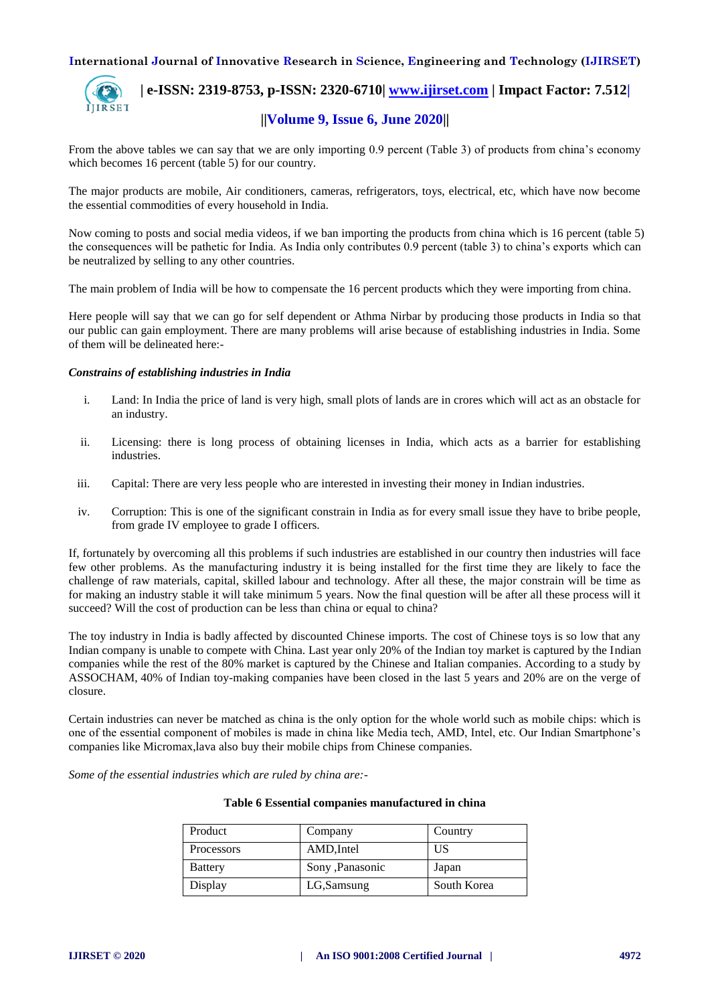

 **| e-ISSN: 2319-8753, p-ISSN: 2320-6710| [www.ijirset.com](http://www.ijirset.com/) | Impact Factor: 7.512| ||Volume 9, Issue 6, June 2020||** 

From the above tables we can say that we are only importing 0.9 percent (Table 3) of products from china's economy which becomes 16 percent (table 5) for our country.

The major products are mobile, Air conditioners, cameras, refrigerators, toys, electrical, etc, which have now become the essential commodities of every household in India.

Now coming to posts and social media videos, if we ban importing the products from china which is 16 percent (table 5) the consequences will be pathetic for India. As India only contributes 0.9 percent (table 3) to china's exports which can be neutralized by selling to any other countries.

The main problem of India will be how to compensate the 16 percent products which they were importing from china.

Here people will say that we can go for self dependent or Athma Nirbar by producing those products in India so that our public can gain employment. There are many problems will arise because of establishing industries in India. Some of them will be delineated here:-

#### *Constrains of establishing industries in India*

- i. Land: In India the price of land is very high, small plots of lands are in crores which will act as an obstacle for an industry.
- ii. Licensing: there is long process of obtaining licenses in India, which acts as a barrier for establishing industries.
- iii. Capital: There are very less people who are interested in investing their money in Indian industries.
- iv. Corruption: This is one of the significant constrain in India as for every small issue they have to bribe people, from grade IV employee to grade I officers.

If, fortunately by overcoming all this problems if such industries are established in our country then industries will face few other problems. As the manufacturing industry it is being installed for the first time they are likely to face the challenge of raw materials, capital, skilled labour and technology. After all these, the major constrain will be time as for making an industry stable it will take minimum 5 years. Now the final question will be after all these process will it succeed? Will the cost of production can be less than china or equal to china?

The toy industry in India is badly affected by discounted Chinese imports. The cost of Chinese toys is so low that any Indian company is unable to compete with China. Last year only 20% of the Indian toy market is captured by the Indian companies while the rest of the 80% market is captured by the Chinese and Italian companies. According to a study by ASSOCHAM, 40% of Indian toy-making companies have been closed in the last 5 years and 20% are on the verge of closure.

Certain industries can never be matched as china is the only option for the whole world such as mobile chips: which is one of the essential component of mobiles is made in china like Media tech, AMD, Intel, etc. Our Indian Smartphone's companies like Micromax,lava also buy their mobile chips from Chinese companies.

*Some of the essential industries which are ruled by china are:-*

| Product        | Company          | Country     |
|----------------|------------------|-------------|
| Processors     | AMD, Intel       | US          |
| <b>Battery</b> | Sony , Panasonic | Japan       |
| Display        | LG, Samsung      | South Korea |

#### **Table 6 Essential companies manufactured in china**